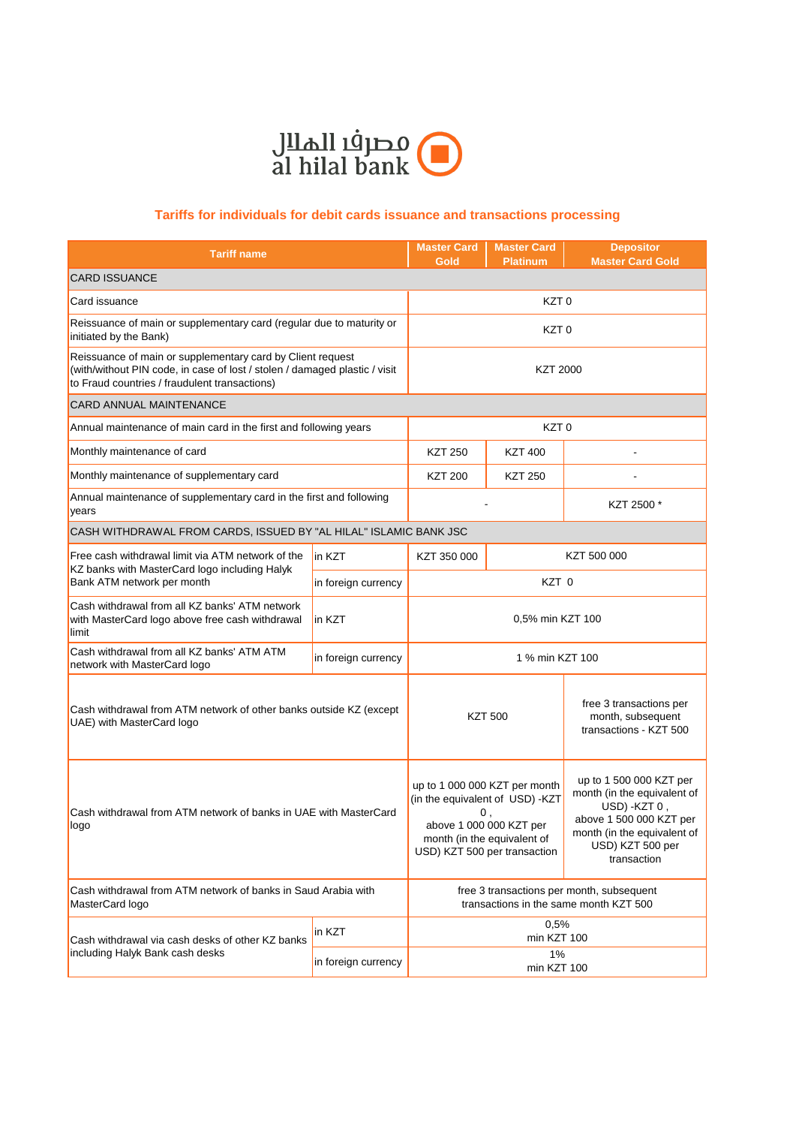

## **Tariffs for individuals for debit cards issuance and transactions processing**

| <b>Tariff name</b>                                                                                                                                                                        |                     | <b>Master Card</b><br>Gold                                                                                                                                       | <b>Master Card</b><br><b>Platinum</b> | <b>Depositor</b><br><b>Master Card Gold</b>                                                                                                                         |  |  |
|-------------------------------------------------------------------------------------------------------------------------------------------------------------------------------------------|---------------------|------------------------------------------------------------------------------------------------------------------------------------------------------------------|---------------------------------------|---------------------------------------------------------------------------------------------------------------------------------------------------------------------|--|--|
| <b>CARD ISSUANCE</b>                                                                                                                                                                      |                     |                                                                                                                                                                  |                                       |                                                                                                                                                                     |  |  |
| Card issuance                                                                                                                                                                             |                     | KZT <sub>0</sub>                                                                                                                                                 |                                       |                                                                                                                                                                     |  |  |
| Reissuance of main or supplementary card (regular due to maturity or<br>initiated by the Bank)                                                                                            |                     | KZT <sub>0</sub>                                                                                                                                                 |                                       |                                                                                                                                                                     |  |  |
| Reissuance of main or supplementary card by Client request<br>(with/without PIN code, in case of lost / stolen / damaged plastic / visit<br>to Fraud countries / fraudulent transactions) |                     | <b>KZT 2000</b>                                                                                                                                                  |                                       |                                                                                                                                                                     |  |  |
| <b>CARD ANNUAL MAINTENANCE</b>                                                                                                                                                            |                     |                                                                                                                                                                  |                                       |                                                                                                                                                                     |  |  |
| Annual maintenance of main card in the first and following years                                                                                                                          |                     | KZT <sub>0</sub>                                                                                                                                                 |                                       |                                                                                                                                                                     |  |  |
| Monthly maintenance of card                                                                                                                                                               |                     | <b>KZT 250</b>                                                                                                                                                   | <b>KZT 400</b>                        |                                                                                                                                                                     |  |  |
| Monthly maintenance of supplementary card                                                                                                                                                 |                     | <b>KZT 200</b>                                                                                                                                                   | <b>KZT 250</b>                        |                                                                                                                                                                     |  |  |
| Annual maintenance of supplementary card in the first and following<br>years                                                                                                              |                     |                                                                                                                                                                  |                                       | KZT 2500 *                                                                                                                                                          |  |  |
| CASH WITHDRAWAL FROM CARDS, ISSUED BY "AL HILAL" ISLAMIC BANK JSC                                                                                                                         |                     |                                                                                                                                                                  |                                       |                                                                                                                                                                     |  |  |
| Free cash withdrawal limit via ATM network of the<br>KZ banks with MasterCard logo including Halyk<br>Bank ATM network per month                                                          | in KZT              | KZT 350 000                                                                                                                                                      | KZT 500 000                           |                                                                                                                                                                     |  |  |
|                                                                                                                                                                                           | in foreign currency |                                                                                                                                                                  | KZT 0                                 |                                                                                                                                                                     |  |  |
| Cash withdrawal from all KZ banks' ATM network<br>with MasterCard logo above free cash withdrawal<br>limit                                                                                | in KZT              | 0,5% min KZT 100                                                                                                                                                 |                                       |                                                                                                                                                                     |  |  |
| Cash withdrawal from all KZ banks' ATM ATM<br>network with MasterCard logo                                                                                                                | in foreign currency | 1 % min KZT 100                                                                                                                                                  |                                       |                                                                                                                                                                     |  |  |
| Cash withdrawal from ATM network of other banks outside KZ (except<br>UAE) with MasterCard logo                                                                                           |                     | <b>KZT 500</b>                                                                                                                                                   |                                       | free 3 transactions per<br>month, subsequent<br>transactions - KZT 500                                                                                              |  |  |
| Cash withdrawal from ATM network of banks in UAE with MasterCard<br>logo                                                                                                                  |                     | up to 1 000 000 KZT per month<br>(in the equivalent of USD) -KZT<br>0,<br>above 1 000 000 KZT per<br>month (in the equivalent of<br>USD) KZT 500 per transaction |                                       | up to 1 500 000 KZT per<br>month (in the equivalent of<br>USD) -KZT 0,<br>above 1 500 000 KZT per<br>month (in the equivalent of<br>USD) KZT 500 per<br>transaction |  |  |
| Cash withdrawal from ATM network of banks in Saud Arabia with<br>MasterCard logo                                                                                                          |                     | free 3 transactions per month, subsequent<br>transactions in the same month KZT 500                                                                              |                                       |                                                                                                                                                                     |  |  |
| Cash withdrawal via cash desks of other KZ banks<br>including Halyk Bank cash desks                                                                                                       | in KZT              | 0,5%<br>min KZT 100                                                                                                                                              |                                       |                                                                                                                                                                     |  |  |
|                                                                                                                                                                                           | in foreign currency | 1%<br>min KZT 100                                                                                                                                                |                                       |                                                                                                                                                                     |  |  |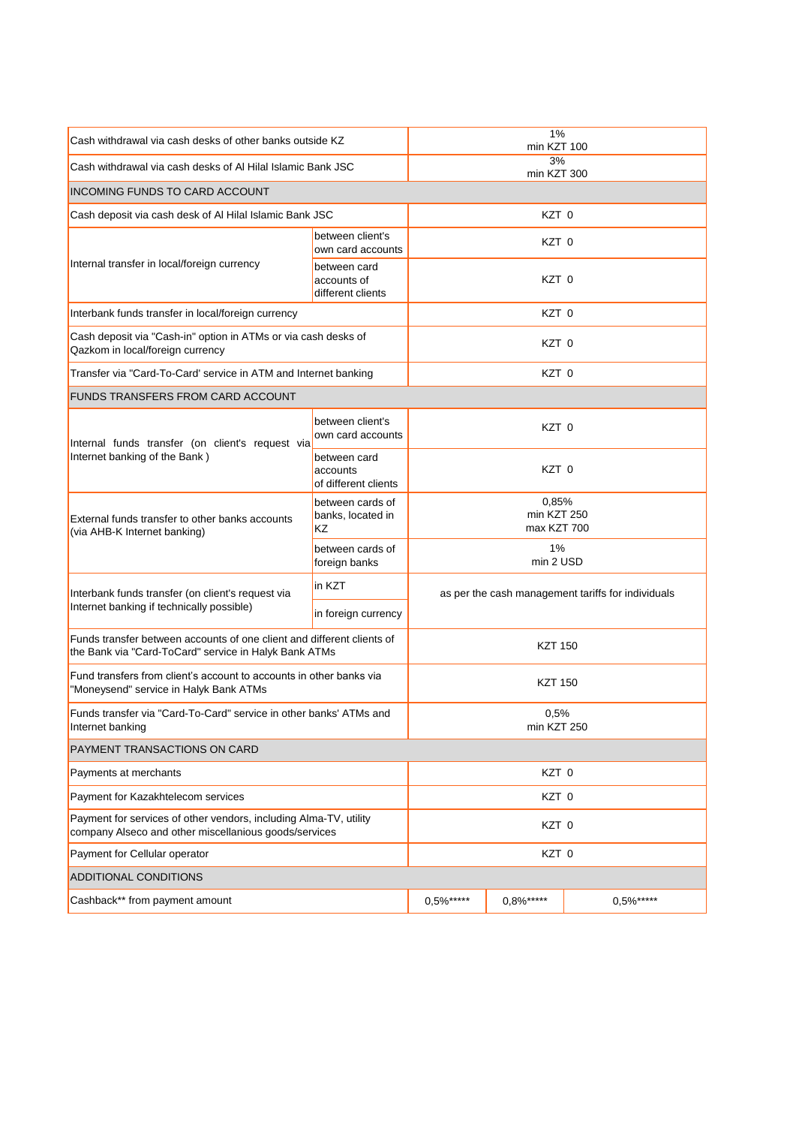| Cash withdrawal via cash desks of other banks outside KZ                                                                        |                                                  | 1%<br>min KZT 100                                  |               |               |  |
|---------------------------------------------------------------------------------------------------------------------------------|--------------------------------------------------|----------------------------------------------------|---------------|---------------|--|
| Cash withdrawal via cash desks of AI Hilal Islamic Bank JSC                                                                     |                                                  | 3%<br>min KZT 300                                  |               |               |  |
| <b>INCOMING FUNDS TO CARD ACCOUNT</b>                                                                                           |                                                  |                                                    |               |               |  |
| Cash deposit via cash desk of Al Hilal Islamic Bank JSC                                                                         |                                                  | KZT 0                                              |               |               |  |
|                                                                                                                                 | between client's<br>own card accounts            | KZT <sub>0</sub>                                   |               |               |  |
| Internal transfer in local/foreign currency                                                                                     | between card<br>accounts of<br>different clients | KZT <sub>0</sub>                                   |               |               |  |
| Interbank funds transfer in local/foreign currency                                                                              | KZT 0                                            |                                                    |               |               |  |
| Cash deposit via "Cash-in" option in ATMs or via cash desks of<br>Qazkom in local/foreign currency                              |                                                  | KZT 0                                              |               |               |  |
| Transfer via "Card-To-Card' service in ATM and Internet banking                                                                 |                                                  | KZT <sub>0</sub>                                   |               |               |  |
| <b>FUNDS TRANSFERS FROM CARD ACCOUNT</b>                                                                                        |                                                  |                                                    |               |               |  |
| Internal funds transfer (on client's request via                                                                                | between client's<br>own card accounts            | KZT <sub>0</sub>                                   |               |               |  |
| Internet banking of the Bank)<br>External funds transfer to other banks accounts<br>(via AHB-K Internet banking)                | between card<br>accounts<br>of different clients | KZT <sub>0</sub>                                   |               |               |  |
|                                                                                                                                 | between cards of<br>banks, located in<br>ΚZ      | 0,85%<br>min KZT 250<br>max KZT 700                |               |               |  |
|                                                                                                                                 | between cards of<br>foreign banks                | 1%<br>min 2 USD                                    |               |               |  |
| Interbank funds transfer (on client's request via<br>Internet banking if technically possible)                                  | in KZT                                           | as per the cash management tariffs for individuals |               |               |  |
|                                                                                                                                 | in foreign currency                              |                                                    |               |               |  |
| Funds transfer between accounts of one client and different clients of<br>the Bank via "Card-ToCard" service in Halyk Bank ATMs |                                                  | <b>KZT 150</b>                                     |               |               |  |
| Fund transfers from client's account to accounts in other banks via<br>"Moneysend" service in Halyk Bank ATMs                   |                                                  | <b>KZT 150</b>                                     |               |               |  |
| Funds transfer via "Card-To-Card" service in other banks' ATMs and<br>Internet banking                                          |                                                  | 0,5%<br>min KZT 250                                |               |               |  |
| <b>PAYMENT TRANSACTIONS ON CARD</b>                                                                                             |                                                  |                                                    |               |               |  |
| Payments at merchants                                                                                                           | KZT 0                                            |                                                    |               |               |  |
| Payment for Kazakhtelecom services                                                                                              |                                                  | KZT 0                                              |               |               |  |
| Payment for services of other vendors, including Alma-TV, utility<br>company Alseco and other miscellanious goods/services      |                                                  | KZT 0                                              |               |               |  |
| Payment for Cellular operator                                                                                                   | KZT 0                                            |                                                    |               |               |  |
| <b>ADDITIONAL CONDITIONS</b>                                                                                                    |                                                  |                                                    |               |               |  |
| Cashback** from payment amount                                                                                                  |                                                  | $0.5%$ *****                                       | $0.8\%$ ***** | $0.5\%$ ***** |  |